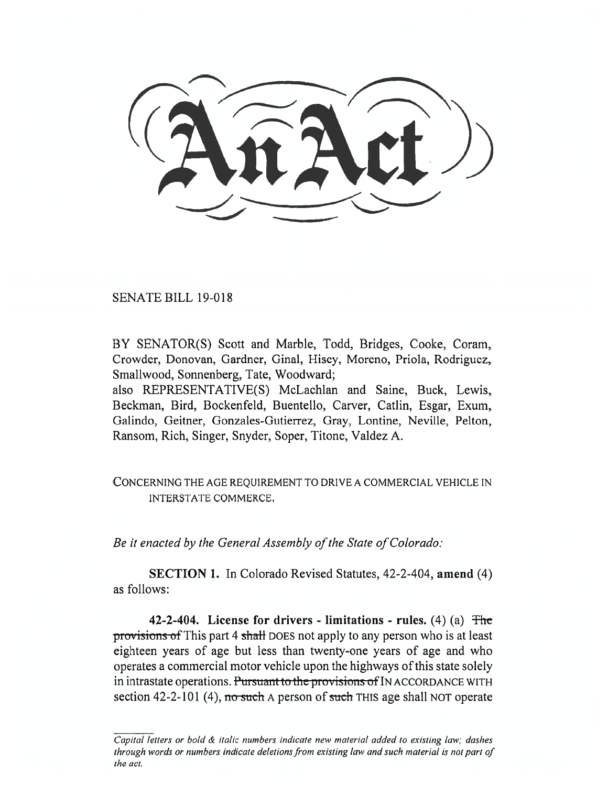SENATE BILL 19-018

BY SENATOR(S) Scott and Marble, Todd, Bridges, Cooke, Coram, Crowder, Donovan, Gardner, Ginal, Hisey, Moreno, Priola, Rodriguez, Smallwood, Sonnenberg, Tate, Woodward;

also REPRESENTATIVE(S) McLachlan and Saine, Buck, Lewis, Beckman, Bird, Bockenfeld, Buentello, Carver, Catlin, Esgar, Exum, Galindo, Geitner, Gonzales-Gutierrez, Gray, Lontine, Neville, Pelton, Ransom, Rich, Singer, Snyder, Soper, Titone, Valdez A.

## CONCERNING THE AGE REQUIREMENT TO DRIVE A COMMERCIAL VEHICLE IN INTERSTATE COMMERCE.

*Be it enacted by the General Assembly of the State of Colorado:* 

**SECTION 1.** In Colorado Revised Statutes, 42-2-404, **amend** (4) as follows:

**42-2-404. License for drivers - limitations - rules.** (4) (a) the provisions of This part 4 shall DOES not apply to any person who is at least eighteen years of age but less than twenty-one years of age and who operates a commercial motor vehicle upon the highways of this state solely in intrastate operations. Pursuant to the provisions of IN ACCORDANCE WITH section 42-2-101 (4), no such A person of such THIS age shall NOT operate

Capital letters or bold & italic numbers indicate new material added to existing law; dashes through words or numbers indicate deletions from existing law and such material is not part of the act.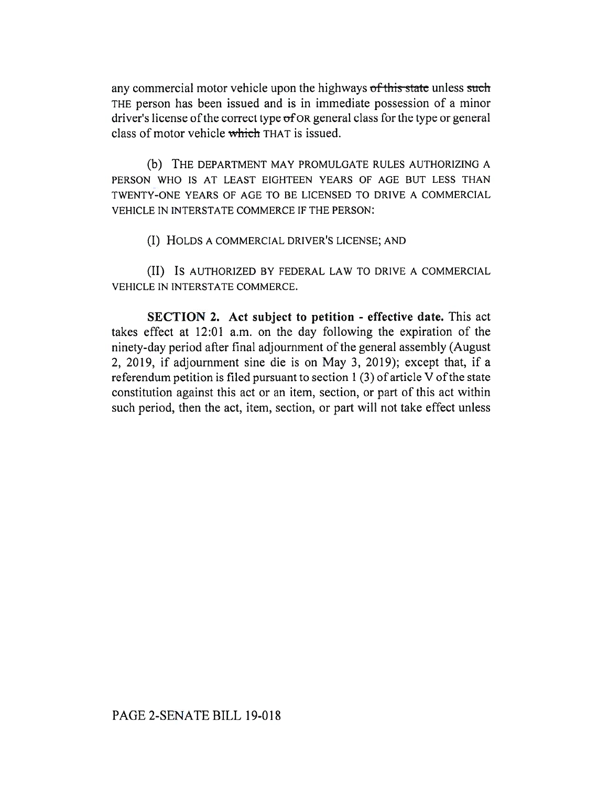any commercial motor vehicle upon the highways of this state unless such THE person has been issued and is in immediate possession of a minor driver's license of the correct type  $\sigma$ f OR general class for the type or general class of motor vehicle which THAT is issued.

(b) THE DEPARTMENT MAY PROMULGATE RULES AUTHORIZING A PERSON WHO IS AT LEAST EIGHTEEN YEARS OF AGE BUT LESS THAN TWENTY-ONE YEARS OF AGE TO BE LICENSED TO DRIVE A COMMERCIAL VEHICLE IN INTERSTATE COMMERCE IF THE PERSON:

(I) HOLDS A COMMERCIAL DRIVER'S LICENSE; AND

(II) IS AUTHORIZED BY FEDERAL LAW TO DRIVE A COMMERCIAL VEHICLE IN INTERSTATE COMMERCE.

**SECTION 2. Act subject to petition - effective date.** This act takes effect at 12:01 a.m. on the day following the expiration of the ninety-day period after final adjournment of the general assembly (August 2, 2019, if adjournment sine die is on May 3, 2019); except that, if a referendum petition is filed pursuant to section 1 (3) of article V of the state constitution against this act or an item, section, or part of this act within such period, then the act, item, section, or part will not take effect unless